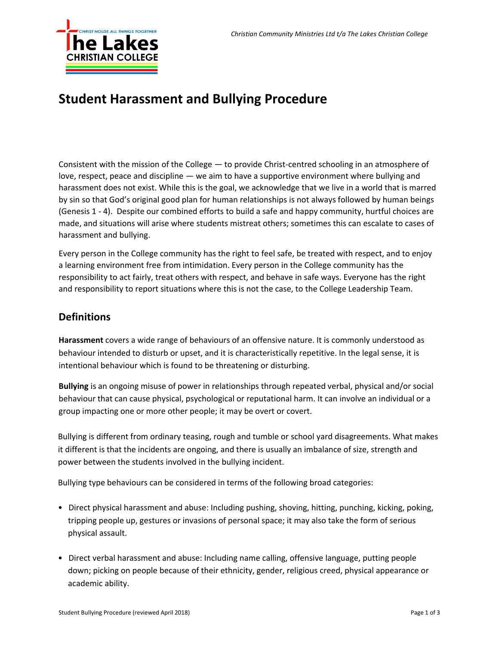

## **Student Harassment and Bullying Procedure**

Consistent with the mission of the College — to provide Christ-centred schooling in an atmosphere of love, respect, peace and discipline — we aim to have a supportive environment where bullying and harassment does not exist. While this is the goal, we acknowledge that we live in a world that is marred by sin so that God's original good plan for human relationships is not always followed by human beings (Genesis 1 - 4). Despite our combined efforts to build a safe and happy community, hurtful choices are made, and situations will arise where students mistreat others; sometimes this can escalate to cases of harassment and bullying.

Every person in the College community has the right to feel safe, be treated with respect, and to enjoy a learning environment free from intimidation. Every person in the College community has the responsibility to act fairly, treat others with respect, and behave in safe ways. Everyone has the right and responsibility to report situations where this is not the case, to the College Leadership Team.

## **Definitions**

**Harassment** covers a wide range of behaviours of an offensive nature. It is commonly understood as behaviour intended to disturb or upset, and it is characteristically repetitive. In the legal sense, it is intentional behaviour which is found to be threatening or disturbing.

**Bullying** is an ongoing misuse of power in relationships through repeated verbal, physical and/or social behaviour that can cause physical, psychological or reputational harm. It can involve an individual or a group impacting one or more other people; it may be overt or covert.

Bullying is different from ordinary teasing, rough and tumble or school yard disagreements. What makes it different is that the incidents are ongoing, and there is usually an imbalance of size, strength and power between the students involved in the bullying incident.

Bullying type behaviours can be considered in terms of the following broad categories:

- Direct physical harassment and abuse: Including pushing, shoving, hitting, punching, kicking, poking, tripping people up, gestures or invasions of personal space; it may also take the form of serious physical assault.
- Direct verbal harassment and abuse: Including name calling, offensive language, putting people down; picking on people because of their ethnicity, gender, religious creed, physical appearance or academic ability.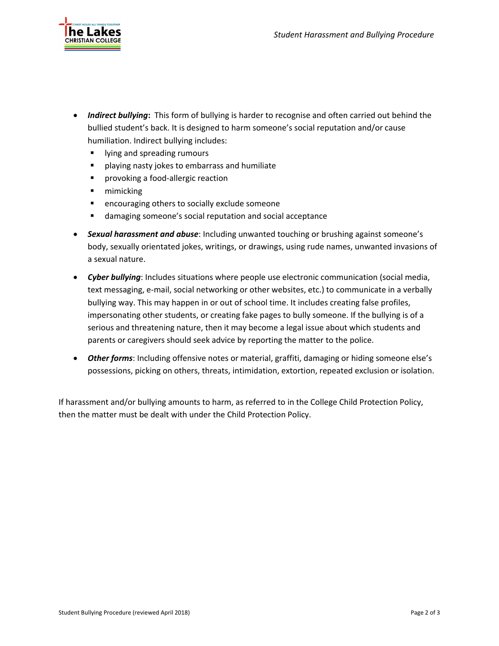

- *Indirect bullying***:** This form of bullying is harder to recognise and often carried out behind the bullied student's back. It is designed to harm someone's social reputation and/or cause humiliation. Indirect bullying includes:
	- lying and spreading rumours
	- playing nasty jokes to embarrass and humiliate
	- provoking a food-allergic reaction
	- mimicking
	- encouraging others to socially exclude someone
	- damaging someone's social reputation and social acceptance
- *Sexual harassment and abuse*: Including unwanted touching or brushing against someone's body, sexually orientated jokes, writings, or drawings, using rude names, unwanted invasions of a sexual nature.
- *Cyber bullying*: Includes situations where people use electronic communication (social media, text messaging, e-mail, social networking or other websites, etc.) to communicate in a verbally bullying way. This may happen in or out of school time. It includes creating false profiles, impersonating other students, or creating fake pages to bully someone. If the bullying is of a serious and threatening nature, then it may become a legal issue about which students and parents or caregivers should seek advice by reporting the matter to the police.
- *Other forms*: Including offensive notes or material, graffiti, damaging or hiding someone else's possessions, picking on others, threats, intimidation, extortion, repeated exclusion or isolation.

If harassment and/or bullying amounts to harm, as referred to in the College Child Protection Policy, then the matter must be dealt with under the Child Protection Policy.